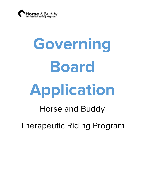

# **Governing Board Application**

# Horse and Buddy Therapeutic Riding Program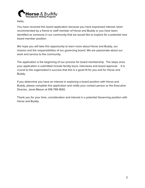

Hello,

You have received this board application because you have expressed interest, been recommended by a friend or staff member of Horse and Buddy or you have been identified as someone in our community that we would like to explore for a potential new board member position.

We hope you will take this opportunity to learn more about Horse and Buddy, our mission and the responsibilities of our governing board. We are passionate about our work and service to the community.

The application is the beginning of our process for board membership. The steps once your application is submitted include facility tours, interviews and board approval. It is crucial to the organization's success that this is a good fit for you and for Horse and Buddy.

If you determine you have an interest in exploring a board position with Horse and Buddy, please complete this application and notify your contact person or the Executive Director, Janet Mason at 919-799-1650.

Thank you for your time, consideration and interest in a potential Governing position with Horse and Buddy.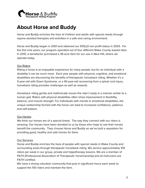

# **About Horse and Buddy**

Horse and Buddy enriches the lives of children and adults with special needs through equine assisted therapies and activities in a safe and caring environment.

Horse and Buddy began in 2001 and obtained our 501(c)3 non-profit status in 2003. For the first nine years, our program operated out of four different Wake County leased sites. In 2010, a benefactor purchased a 35-acre farm for our use in New Hill, where we operate today.

## Our Riders

Riding a horse is an enjoyable experience for many people, but for an individual with a disability it can be much more. Each year people with physical, cognitive, and emotional disabilities are discovering the benefits of therapeutic horseback riding. Whether it's a 5-year-old with Down Syndrome, or a 45-year-old recovering from a spinal cord injury, horseback riding provides challenges as well as rewards.

Horseback riding gently and rhythmically moves the rider's body in a manner similar to a human gait. Riders with physical disabilities often show improvement in flexibility, balance, and muscle strength. For individuals with mental or emotional disabilities, the unique relationship formed with the horse can lead to increased confidence, patience and self-esteem.

# Our Horses

We think our horses are of a special breed. The way they connect with our riders is amazing. Our horses have been donated to us by those who hope to see their horses benefit the community. They choose Horse and Buddy as we've built a reputation for providing good, healthy and safe homes for them.

### Our Services

Horse and Buddy enriches the lives of people with special needs in Wake County and surrounding areas through therapeutic horseback riding. We service approximately 100 riders per week in our group, private and hippotherapy lessons. We are a member of PATH (Professional Association of Therapeutic horsemanship) and all instructors are PATH certified.

We have a strong volunteer community that puts in significant hours each week to support the 100 riders and maintain the farm.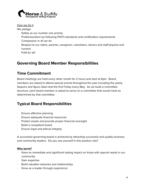

How we do it

We pledge:

- Safety as our number one priority
- · Professionalism by following PATH standards and certification requirements
- · Compassion in all we do
- · Respect to our riders, parents, caregivers, volunteers, donors and staff (equine and human)
- · FUN for all!

# **Governing Board Member Responsibilities**

# **Time Commitment**

Board meetings are held every other month for 2 hours and start at 6pm. Board members are asked to attend special events throughout the year including the yearly Sequins and Spurs Gala held the first Friday every May. As we build a committee structure, each board member is asked to serve on a committee that would meet as determined by that committee.

# **Typical Board Responsibilities**

- · Ensure effective planning
- · Ensure adequate financial resources
- · Protect assets and provide proper financial oversight
- Build a competent board
- Ensure legal and ethical integrity

A successful governing board is achieved by attracting successful and quality business and community leaders. Do you see yourself in this positive role?

### **Why serve?**

- Have an immediate and significant lasting impact on those with special needs in our community
- · Gain expertise
- · Build valuable networks and relationships
- Grow as a leader through experience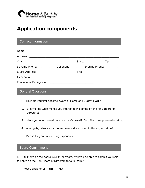

# **Application components**

# Contact Information

| Daytime Phone: Cellphone: Cellphone: Evening Phone: 2011 |  |  |
|----------------------------------------------------------|--|--|
|                                                          |  |  |
|                                                          |  |  |
|                                                          |  |  |
|                                                          |  |  |

# General Questions

- 1. How did you first become aware of Horse and Buddy (H&B)?
- 2. Briefly state what makes you interested in serving on the H&B Board of Directors?
- 3. Have you ever served on a non-profit board? Yes / No. If so, please describe:
- 4. What gifts, talents, or experience would you bring to this organization?
- 5. Please list your fundraising experience:

# Board Commitment

1. A full term on the board is (3) three years. Will you be able to commit yourself to serve on the H&B Board of Directors for a full term?

Please circle one**: YES NO**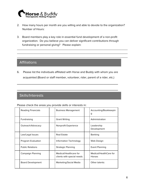

2. How many hours per month are you willing and able to devote to the organization? Number of Hours:

\_\_\_\_\_\_\_\_\_\_\_\_\_\_\_\_\_\_\_\_\_\_\_\_\_\_\_\_\_\_\_\_\_\_\_\_\_\_\_\_\_\_\_\_\_\_\_\_\_\_\_\_\_\_\_\_\_\_\_\_\_\_\_\_\_\_\_\_\_ \_\_\_\_\_\_\_\_\_\_\_\_\_\_\_\_\_\_\_\_\_\_\_\_\_\_\_\_\_\_\_\_\_\_\_\_\_\_\_\_\_\_\_\_\_\_\_\_\_\_\_\_\_\_\_\_\_\_\_\_\_\_\_\_\_\_\_\_\_ \_\_\_\_\_\_\_\_\_\_\_\_\_\_\_\_\_\_\_\_\_\_\_\_\_\_\_\_\_\_\_\_\_\_\_\_\_\_\_\_\_\_\_\_\_\_\_\_\_\_\_\_\_\_\_\_\_\_\_\_\_\_\_\_\_\_\_\_\_

3. Board members play a key role in essential fund development of a non-profit organization. Do you believe you can deliver significant contributions through fundraising or personal giving? Please explain:

# **Affiliations**

6. Please list the individuals affiliated with Horse and Buddy with whom you are acquainted (Board or staff member, volunteer, rider, parent of a rider, etc.)

\_\_\_\_\_\_\_\_\_\_\_\_\_\_\_\_\_\_\_\_\_\_\_\_\_\_\_\_\_\_\_\_\_\_\_\_\_\_\_\_\_\_

\_\_\_\_\_\_\_\_\_\_\_\_\_\_\_\_\_\_\_\_\_\_\_\_\_\_\_\_\_\_\_\_\_\_\_\_\_\_\_\_\_\_

# Skills/Interests

Please check the areas you provide skills or interests in:

| <b>Reading Financials</b> | <b>Business Management</b>                           | Accounting/Bookkeepin<br>g              |
|---------------------------|------------------------------------------------------|-----------------------------------------|
| Fundraising               | <b>Grant Writing</b>                                 | Administration                          |
| Outreach/Advocacy         | Nonprofit Experience                                 | Leadership<br>Development               |
| Law/Legal Issues          | Real Estate                                          | <b>Banking</b>                          |
| Program Evaluation        | Information Technology                               | Web Design                              |
| <b>Public Relations</b>   | <b>Strategic Planning</b>                            | <b>Event Planning</b>                   |
| Campaign Planning         | Medical/Healthcare for<br>clients with special needs | Medical/HealthCare for<br><b>Horses</b> |
| Board Development         | Marketing/Social Media                               | Other talents:                          |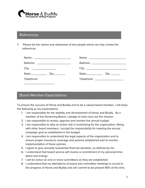

# **References**

7. Please list the names and addresses of two people whom we may contact for references.

| Address: _________________________ | Address: ____________________________ |
|------------------------------------|---------------------------------------|
|                                    |                                       |
|                                    |                                       |
| Telephone:                         | Telephone: ____________________       |
|                                    |                                       |

# Board Member Expectations

To ensure the success of Horse and Buddy and to be a valued board member, I will keep the following as my expectations:

- 1. I am responsible for the stability and development of Horse and Buddy. As a member of the Governing Board, I pledge to help carry out the mission.
- 2. I am responsible to review, approve and monitor the annual budget.
- 3. I am responsible to take an active role in fundraising for the organization. Along with other board members, I accept the responsibility for meeting the annual campaign goal as established in the budget.
- 4. I am responsible to understand the legal aspects of the organization and to ensure proper insurance coverage and policies established and to monitor implementation of these policies.
- 5. I agree to give annually substantial financial donation, as defined by me.
- 6. I understand that board service will involve a commitment of my personal time, talent and energy.
- 7. I will be active on one or more committees as they are established.
- 8. I understand that my attendance at board and committee meetings is crucial to the progress of Horse and Buddy and will commit to be present 80% of the time.